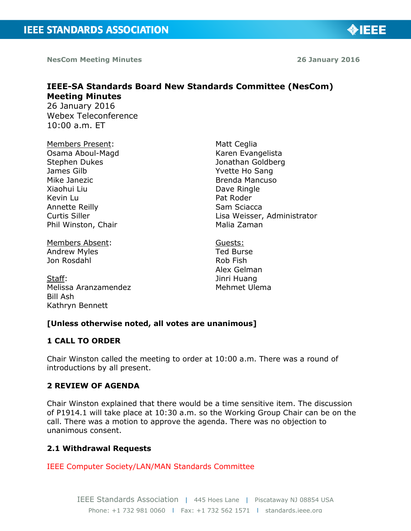**NesCom Meeting Minutes 26 January 2016** 

◈IEEE

# **IEEE-SA Standards Board New Standards Committee (NesCom) Meeting Minutes**

26 January 2016 Webex Teleconference 10:00 a.m. ET

Members Present: Osama Aboul-Magd Stephen Dukes James Gilb Mike Janezic Xiaohui Liu Kevin Lu Annette Reilly Curtis Siller Phil Winston, Chair

Members Absent: Andrew Myles Jon Rosdahl

Staff: Melissa Aranzamendez Bill Ash Kathryn Bennett

Matt Ceglia Karen Evangelista Jonathan Goldberg Yvette Ho Sang Brenda Mancuso Dave Ringle Pat Roder Sam Sciacca Lisa Weisser, Administrator Malia Zaman

Guests: Ted Burse Rob Fish Alex Gelman Jinri Huang Mehmet Ulema

## **[Unless otherwise noted, all votes are unanimous]**

## **1 CALL TO ORDER**

Chair Winston called the meeting to order at 10:00 a.m. There was a round of introductions by all present.

## **2 REVIEW OF AGENDA**

Chair Winston explained that there would be a time sensitive item. The discussion of P1914.1 will take place at 10:30 a.m. so the Working Group Chair can be on the call. There was a motion to approve the agenda. There was no objection to unanimous consent.

## **2.1 Withdrawal Requests**

IEEE Computer Society/LAN/MAN Standards Committee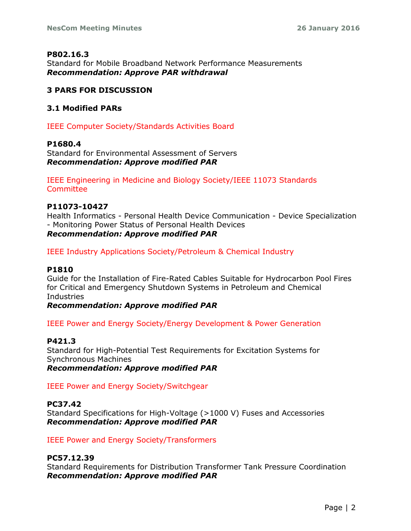## **P802.16.3**

Standard for Mobile Broadband Network Performance Measurements *Recommendation: Approve PAR withdrawal*

## **3 PARS FOR DISCUSSION**

## **3.1 Modified PARs**

IEEE Computer Society/Standards Activities Board

## **P1680.4**

Standard for Environmental Assessment of Servers *Recommendation: Approve modified PAR*

IEEE Engineering in Medicine and Biology Society/IEEE 11073 Standards **Committee** 

## **P11073-10427**

Health Informatics - Personal Health Device Communication - Device Specialization - Monitoring Power Status of Personal Health Devices *Recommendation: Approve modified PAR*

IEEE Industry Applications Society/Petroleum & Chemical Industry

## **P1810**

Guide for the Installation of Fire-Rated Cables Suitable for Hydrocarbon Pool Fires for Critical and Emergency Shutdown Systems in Petroleum and Chemical Industries

*Recommendation: Approve modified PAR*

IEEE Power and Energy Society/Energy Development & Power Generation

## **P421.3**

Standard for High-Potential Test Requirements for Excitation Systems for Synchronous Machines *Recommendation: Approve modified PAR*

IEEE Power and Energy Society/Switchgear

## **PC37.42**

Standard Specifications for High-Voltage (>1000 V) Fuses and Accessories *Recommendation: Approve modified PAR*

IEEE Power and Energy Society/Transformers

## **PC57.12.39**

Standard Requirements for Distribution Transformer Tank Pressure Coordination *Recommendation: Approve modified PAR*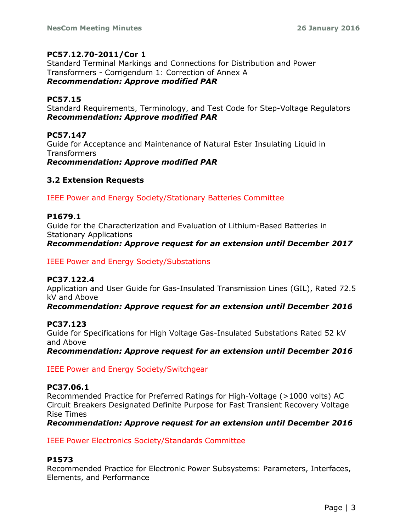## **PC57.12.70-2011/Cor 1**

Standard Terminal Markings and Connections for Distribution and Power Transformers - Corrigendum 1: Correction of Annex A *Recommendation: Approve modified PAR*

## **PC57.15**

Standard Requirements, Terminology, and Test Code for Step-Voltage Regulators *Recommendation: Approve modified PAR*

## **PC57.147**

Guide for Acceptance and Maintenance of Natural Ester Insulating Liquid in **Transformers** 

*Recommendation: Approve modified PAR*

## **3.2 Extension Requests**

IEEE Power and Energy Society/Stationary Batteries Committee

## **P1679.1**

Guide for the Characterization and Evaluation of Lithium-Based Batteries in Stationary Applications *Recommendation: Approve request for an extension until December 2017*

IEEE Power and Energy Society/Substations

## **PC37.122.4**

Application and User Guide for Gas-Insulated Transmission Lines (GIL), Rated 72.5 kV and Above

*Recommendation: Approve request for an extension until December 2016*

## **PC37.123**

Guide for Specifications for High Voltage Gas-Insulated Substations Rated 52 kV and Above

*Recommendation: Approve request for an extension until December 2016*

IEEE Power and Energy Society/Switchgear

## **PC37.06.1**

Recommended Practice for Preferred Ratings for High-Voltage (>1000 volts) AC Circuit Breakers Designated Definite Purpose for Fast Transient Recovery Voltage Rise Times

*Recommendation: Approve request for an extension until December 2016*

## IEEE Power Electronics Society/Standards Committee

## **P1573**

Recommended Practice for Electronic Power Subsystems: Parameters, Interfaces, Elements, and Performance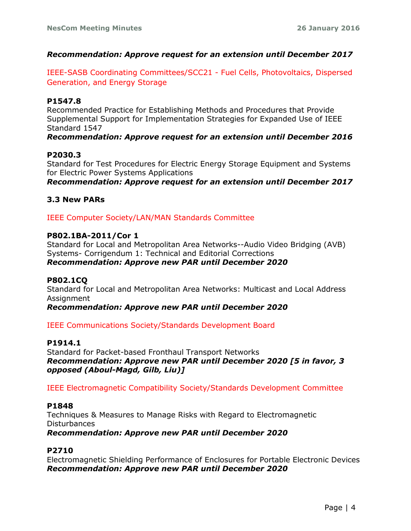## *Recommendation: Approve request for an extension until December 2017*

IEEE-SASB Coordinating Committees/SCC21 - Fuel Cells, Photovoltaics, Dispersed Generation, and Energy Storage

## **P1547.8**

Recommended Practice for Establishing Methods and Procedures that Provide Supplemental Support for Implementation Strategies for Expanded Use of IEEE Standard 1547

## *Recommendation: Approve request for an extension until December 2016*

## **P2030.3**

Standard for Test Procedures for Electric Energy Storage Equipment and Systems for Electric Power Systems Applications

*Recommendation: Approve request for an extension until December 2017*

## **3.3 New PARs**

IEEE Computer Society/LAN/MAN Standards Committee

## **P802.1BA-2011/Cor 1**

Standard for Local and Metropolitan Area Networks--Audio Video Bridging (AVB) Systems- Corrigendum 1: Technical and Editorial Corrections *Recommendation: Approve new PAR until December 2020*

## **P802.1CQ**

Standard for Local and Metropolitan Area Networks: Multicast and Local Address Assignment

*Recommendation: Approve new PAR until December 2020*

IEEE Communications Society/Standards Development Board

## **P1914.1**

Standard for Packet-based Fronthaul Transport Networks *Recommendation: Approve new PAR until December 2020 [5 in favor, 3 opposed (Aboul-Magd, Gilb, Liu)]*

## IEEE Electromagnetic Compatibility Society/Standards Development Committee

## **P1848**

Techniques & Measures to Manage Risks with Regard to Electromagnetic **Disturbances** *Recommendation: Approve new PAR until December 2020*

## **P2710**

Electromagnetic Shielding Performance of Enclosures for Portable Electronic Devices *Recommendation: Approve new PAR until December 2020*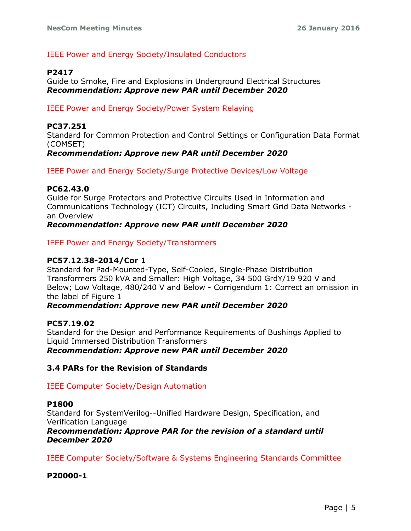## IEEE Power and Energy Society/Insulated Conductors

## **P2417**

Guide to Smoke, Fire and Explosions in Underground Electrical Structures *Recommendation: Approve new PAR until December 2020*

## IEEE Power and Energy Society/Power System Relaying

## **PC37.251**

Standard for Common Protection and Control Settings or Configuration Data Format (COMSET)

## *Recommendation: Approve new PAR until December 2020*

IEEE Power and Energy Society/Surge Protective Devices/Low Voltage

## **PC62.43.0**

Guide for Surge Protectors and Protective Circuits Used in Information and Communications Technology (ICT) Circuits, Including Smart Grid Data Networks an Overview

*Recommendation: Approve new PAR until December 2020*

IEEE Power and Energy Society/Transformers

## **PC57.12.38-2014/Cor 1**

Standard for Pad-Mounted-Type, Self-Cooled, Single-Phase Distribution Transformers 250 kVA and Smaller: High Voltage, 34 500 GrdY/19 920 V and Below; Low Voltage, 480/240 V and Below - Corrigendum 1: Correct an omission in the label of Figure 1

## *Recommendation: Approve new PAR until December 2020*

## **PC57.19.02**

Standard for the Design and Performance Requirements of Bushings Applied to Liquid Immersed Distribution Transformers *Recommendation: Approve new PAR until December 2020*

## **3.4 PARs for the Revision of Standards**

## IEEE Computer Society/Design Automation

## **P1800**

Standard for SystemVerilog--Unified Hardware Design, Specification, and Verification Language

#### *Recommendation: Approve PAR for the revision of a standard until December 2020*

IEEE Computer Society/Software & Systems Engineering Standards Committee

## **P20000-1**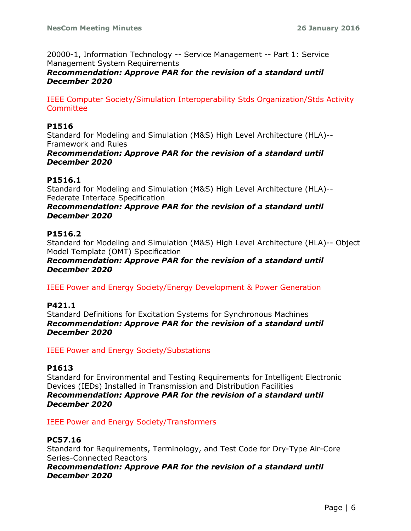20000-1, Information Technology -- Service Management -- Part 1: Service Management System Requirements

*Recommendation: Approve PAR for the revision of a standard until December 2020*

IEEE Computer Society/Simulation Interoperability Stds Organization/Stds Activity **Committee** 

## **P1516**

Standard for Modeling and Simulation (M&S) High Level Architecture (HLA)-- Framework and Rules

## *Recommendation: Approve PAR for the revision of a standard until December 2020*

## **P1516.1**

Standard for Modeling and Simulation (M&S) High Level Architecture (HLA)-- Federate Interface Specification

## *Recommendation: Approve PAR for the revision of a standard until December 2020*

## **P1516.2**

Standard for Modeling and Simulation (M&S) High Level Architecture (HLA)-- Object Model Template (OMT) Specification

#### *Recommendation: Approve PAR for the revision of a standard until December 2020*

IEEE Power and Energy Society/Energy Development & Power Generation

#### **P421.1**

Standard Definitions for Excitation Systems for Synchronous Machines *Recommendation: Approve PAR for the revision of a standard until December 2020*

#### IEEE Power and Energy Society/Substations

#### **P1613**

Standard for Environmental and Testing Requirements for Intelligent Electronic Devices (IEDs) Installed in Transmission and Distribution Facilities *Recommendation: Approve PAR for the revision of a standard until December 2020*

#### IEEE Power and Energy Society/Transformers

## **PC57.16**

Standard for Requirements, Terminology, and Test Code for Dry-Type Air-Core Series-Connected Reactors

*Recommendation: Approve PAR for the revision of a standard until December 2020*